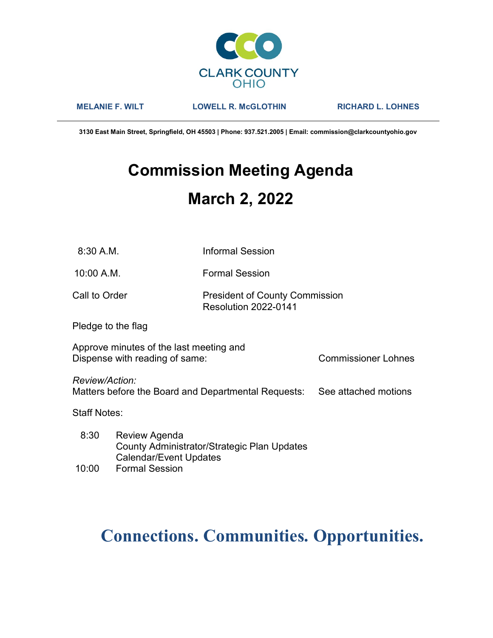

MELANIE F. WILT LOWELL R. McGLOTHIN RICHARD L. LOHNES

3130 East Main Street, Springfield, OH 45503 | Phone: 937.521.2005 | Email: commission@clarkcountyohio.gov

# Commission Meeting Agenda March 2, 2022

10:00 A.M. Formal Session

### Call to Order **President of County Commission** Resolution 2022-0141

Pledge to the flag

Approve minutes of the last meeting and Dispense with reading of same: Commissioner Lohnes

Review/Action:

Matters before the Board and Departmental Requests: See attached motions

Staff Notes:

 8:30 Review Agenda County Administrator/Strategic Plan Updates Calendar/Event Updates

## 10:00 Formal Session

# Connections. Communities. Opportunities.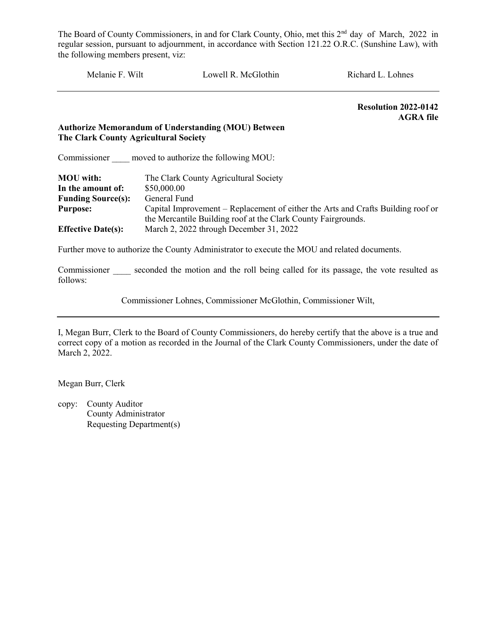Melanie F. Wilt Lowell R. McGlothin Richard L. Lohnes Resolution 2022-0142 AGRA file Authorize Memorandum of Understanding (MOU) Between The Clark County Agricultural Society Commissioner moved to authorize the following MOU: MOU with: The Clark County Agricultural Society In the amount of: \$50,000.00 Funding Source(s): General Fund Purpose: Capital Improvement – Replacement of either the Arts and Crafts Building roof or the Mercantile Building roof at the Clark County Fairgrounds. Effective Date(s): March 2, 2022 through December 31, 2022 Further move to authorize the County Administrator to execute the MOU and related documents. Commissioner seconded the motion and the roll being called for its passage, the vote resulted as follows:

Commissioner Lohnes, Commissioner McGlothin, Commissioner Wilt,

I, Megan Burr, Clerk to the Board of County Commissioners, do hereby certify that the above is a true and correct copy of a motion as recorded in the Journal of the Clark County Commissioners, under the date of March 2, 2022.

Megan Burr, Clerk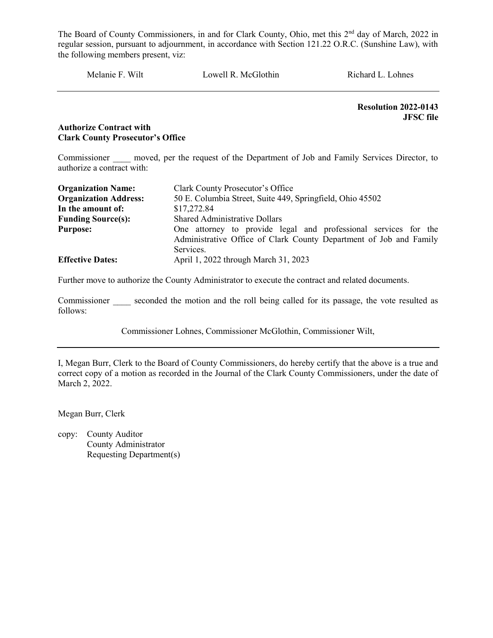Melanie F. Wilt Lowell R. McGlothin Richard L. Lohnes

Resolution 2022-0143 JFSC file

#### Authorize Contract with Clark County Prosecutor's Office

Commissioner moved, per the request of the Department of Job and Family Services Director, to authorize a contract with:

| <b>Organization Name:</b>    | Clark County Prosecutor's Office                                                                                                                   |  |  |
|------------------------------|----------------------------------------------------------------------------------------------------------------------------------------------------|--|--|
| <b>Organization Address:</b> | 50 E. Columbia Street, Suite 449, Springfield, Ohio 45502                                                                                          |  |  |
| In the amount of:            | \$17,272.84                                                                                                                                        |  |  |
| <b>Funding Source(s):</b>    | <b>Shared Administrative Dollars</b>                                                                                                               |  |  |
| <b>Purpose:</b>              | One attorney to provide legal and professional services for the<br>Administrative Office of Clark County Department of Job and Family<br>Services. |  |  |
| <b>Effective Dates:</b>      | April 1, 2022 through March 31, 2023                                                                                                               |  |  |

Further move to authorize the County Administrator to execute the contract and related documents.

Commissioner seconded the motion and the roll being called for its passage, the vote resulted as follows:

Commissioner Lohnes, Commissioner McGlothin, Commissioner Wilt,

I, Megan Burr, Clerk to the Board of County Commissioners, do hereby certify that the above is a true and correct copy of a motion as recorded in the Journal of the Clark County Commissioners, under the date of March 2, 2022.

Megan Burr, Clerk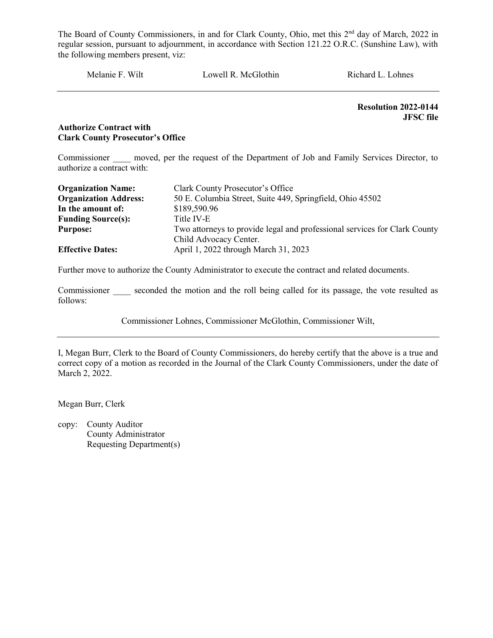Melanie F. Wilt Lowell R. McGlothin Richard L. Lohnes

Resolution 2022-0144 JFSC file

#### Authorize Contract with Clark County Prosecutor's Office

Commissioner moved, per the request of the Department of Job and Family Services Director, to authorize a contract with:

| <b>Organization Name:</b>    | Clark County Prosecutor's Office                                          |
|------------------------------|---------------------------------------------------------------------------|
| <b>Organization Address:</b> | 50 E. Columbia Street, Suite 449, Springfield, Ohio 45502                 |
| In the amount of:            | \$189,590.96                                                              |
| <b>Funding Source(s):</b>    | Title IV-E                                                                |
| <b>Purpose:</b>              | Two attorneys to provide legal and professional services for Clark County |
|                              | Child Advocacy Center.                                                    |
| <b>Effective Dates:</b>      | April 1, 2022 through March 31, 2023                                      |

Further move to authorize the County Administrator to execute the contract and related documents.

Commissioner seconded the motion and the roll being called for its passage, the vote resulted as follows:

Commissioner Lohnes, Commissioner McGlothin, Commissioner Wilt,

I, Megan Burr, Clerk to the Board of County Commissioners, do hereby certify that the above is a true and correct copy of a motion as recorded in the Journal of the Clark County Commissioners, under the date of March 2, 2022.

Megan Burr, Clerk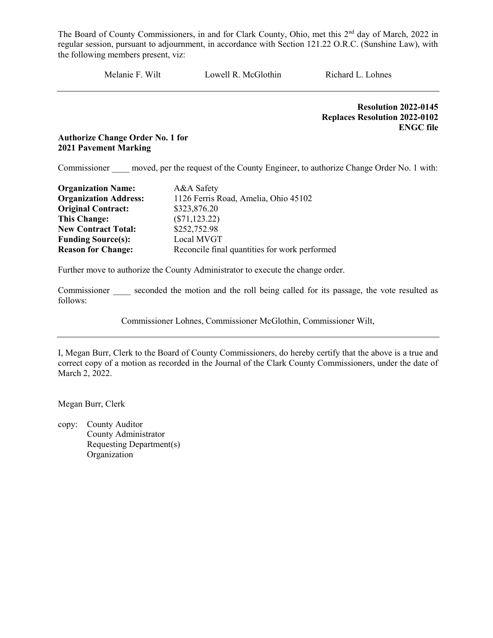Melanie F. Wilt Lowell R. McGlothin Richard L. Lohnes

 Resolution 2022-0145 Replaces Resolution 2022-0102 ENGC file

#### Authorize Change Order No. 1 for 2021 Pavement Marking

Commissioner moved, per the request of the County Engineer, to authorize Change Order No. 1 with:

| <b>Organization Name:</b>    | A&A Safety                                    |
|------------------------------|-----------------------------------------------|
| <b>Organization Address:</b> | 1126 Ferris Road, Amelia, Ohio 45102          |
| <b>Original Contract:</b>    | \$323,876.20                                  |
| <b>This Change:</b>          | $(\$71, 123.22)$                              |
| <b>New Contract Total:</b>   | \$252,752.98                                  |
| <b>Funding Source(s):</b>    | Local MVGT                                    |
| <b>Reason for Change:</b>    | Reconcile final quantities for work performed |

Further move to authorize the County Administrator to execute the change order.

Commissioner seconded the motion and the roll being called for its passage, the vote resulted as follows:

Commissioner Lohnes, Commissioner McGlothin, Commissioner Wilt,

I, Megan Burr, Clerk to the Board of County Commissioners, do hereby certify that the above is a true and correct copy of a motion as recorded in the Journal of the Clark County Commissioners, under the date of March 2, 2022.

Megan Burr, Clerk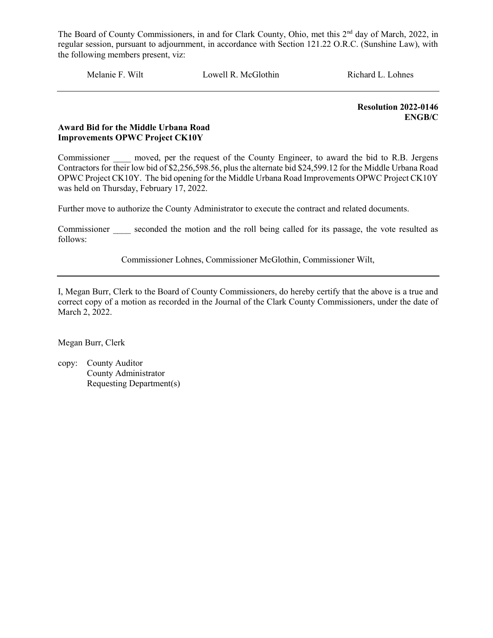Melanie F. Wilt Lowell R. McGlothin Richard L. Lohnes

Resolution 2022-0146 ENGB/C

#### Award Bid for the Middle Urbana Road Improvements OPWC Project CK10Y

Commissioner moved, per the request of the County Engineer, to award the bid to R.B. Jergens Contractors for their low bid of \$2,256,598.56, plus the alternate bid \$24,599.12 for the Middle Urbana Road OPWC Project CK10Y. The bid opening for the Middle Urbana Road Improvements OPWC Project CK10Y was held on Thursday, February 17, 2022.

Further move to authorize the County Administrator to execute the contract and related documents.

Commissioner seconded the motion and the roll being called for its passage, the vote resulted as follows:

Commissioner Lohnes, Commissioner McGlothin, Commissioner Wilt,

I, Megan Burr, Clerk to the Board of County Commissioners, do hereby certify that the above is a true and correct copy of a motion as recorded in the Journal of the Clark County Commissioners, under the date of March 2, 2022.

Megan Burr, Clerk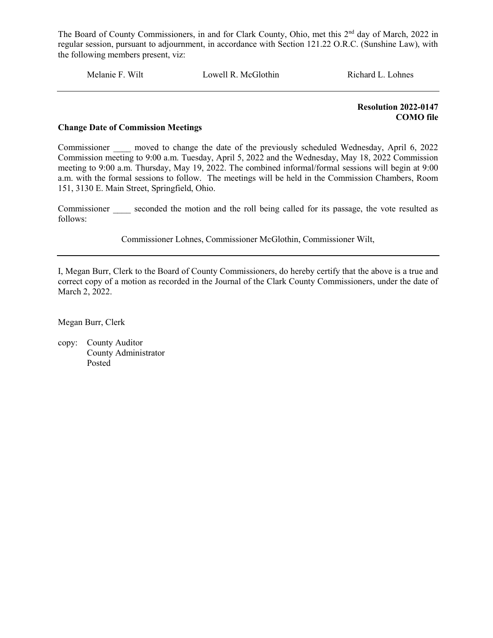Melanie F. Wilt Lowell R. McGlothin Richard L. Lohnes

 Resolution 2022-0147 COMO file

#### Change Date of Commission Meetings

Commissioner a moved to change the date of the previously scheduled Wednesday, April 6, 2022 Commission meeting to 9:00 a.m. Tuesday, April 5, 2022 and the Wednesday, May 18, 2022 Commission meeting to 9:00 a.m. Thursday, May 19, 2022. The combined informal/formal sessions will begin at 9:00 a.m. with the formal sessions to follow. The meetings will be held in the Commission Chambers, Room 151, 3130 E. Main Street, Springfield, Ohio.

Commissioner seconded the motion and the roll being called for its passage, the vote resulted as follows:

Commissioner Lohnes, Commissioner McGlothin, Commissioner Wilt,

I, Megan Burr, Clerk to the Board of County Commissioners, do hereby certify that the above is a true and correct copy of a motion as recorded in the Journal of the Clark County Commissioners, under the date of March 2, 2022.

Megan Burr, Clerk

copy: County Auditor County Administrator Posted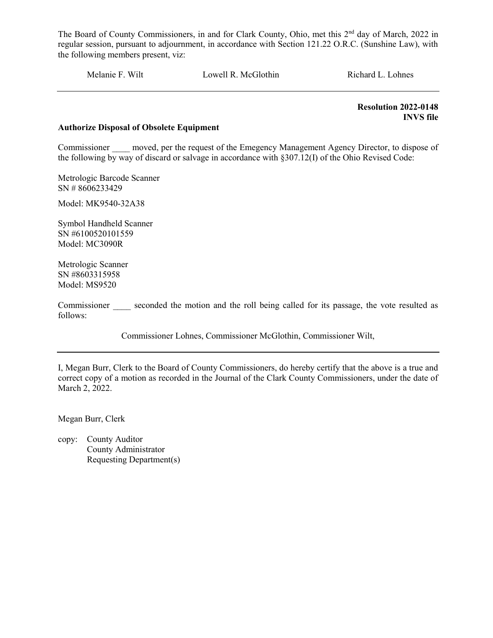Melanie F. Wilt Lowell R. McGlothin Richard L. Lohnes

 Resolution 2022-0148 INVS file

#### Authorize Disposal of Obsolete Equipment

Commissioner moved, per the request of the Emegency Management Agency Director, to dispose of the following by way of discard or salvage in accordance with §307.12(I) of the Ohio Revised Code:

Metrologic Barcode Scanner SN # 8606233429

Model: MK9540-32A38

Symbol Handheld Scanner SN #6100520101559 Model: MC3090R

Metrologic Scanner SN #8603315958 Model: MS9520

Commissioner seconded the motion and the roll being called for its passage, the vote resulted as follows:

Commissioner Lohnes, Commissioner McGlothin, Commissioner Wilt,

I, Megan Burr, Clerk to the Board of County Commissioners, do hereby certify that the above is a true and correct copy of a motion as recorded in the Journal of the Clark County Commissioners, under the date of March 2, 2022.

Megan Burr, Clerk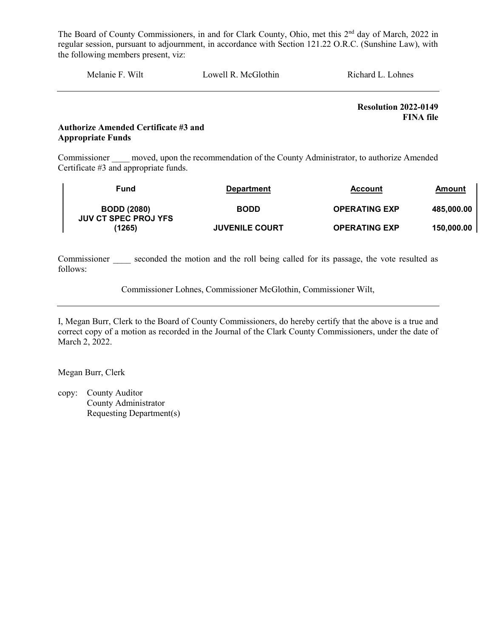| Melanie F. Wilt<br>Lowell R. McGlothin<br>Richard L. Lohnes |  |
|-------------------------------------------------------------|--|
|-------------------------------------------------------------|--|

Resolution 2022-0149 FINA file

#### Authorize Amended Certificate #3 and Appropriate Funds

Commissioner moved, upon the recommendation of the County Administrator, to authorize Amended Certificate #3 and appropriate funds.

| Fund                                              | <b>Department</b>     | <b>Account</b>       | Amount     |
|---------------------------------------------------|-----------------------|----------------------|------------|
| <b>BODD (2080)</b><br><b>JUV CT SPEC PROJ YFS</b> | <b>BODD</b>           | <b>OPERATING EXP</b> | 485.000.00 |
| (1265)                                            | <b>JUVENILE COURT</b> | <b>OPERATING EXP</b> | 150.000.00 |

Commissioner seconded the motion and the roll being called for its passage, the vote resulted as follows:

Commissioner Lohnes, Commissioner McGlothin, Commissioner Wilt,

I, Megan Burr, Clerk to the Board of County Commissioners, do hereby certify that the above is a true and correct copy of a motion as recorded in the Journal of the Clark County Commissioners, under the date of March 2, 2022.

Megan Burr, Clerk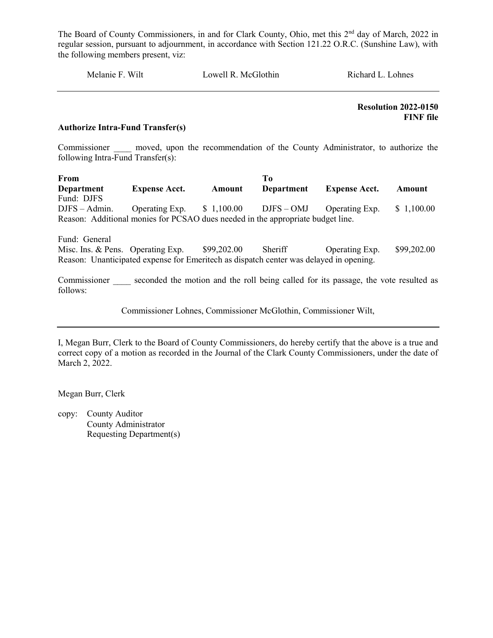Melanie F. Wilt Lowell R. McGlothin Richard L. Lohnes

 Resolution 2022-0150 FINF file

#### Authorize Intra-Fund Transfer(s)

Commissioner and moved, upon the recommendation of the County Administrator, to authorize the following Intra-Fund Transfer(s):

From To Department Expense Acct. Amount Department Expense Acct. Amount Fund: DJFS DJFS – Admin. Operating Exp. \$ 1,100.00 DJFS – OMJ Operating Exp. \$ 1,100.00 Reason: Additional monies for PCSAO dues needed in the appropriate budget line.

Fund: General

Misc. Ins. & Pens. Operating Exp.  $$99,202.00$  Sheriff Operating Exp.  $$99,202.00$ Reason: Unanticipated expense for Emeritech as dispatch center was delayed in opening.

Commissioner seconded the motion and the roll being called for its passage, the vote resulted as follows:

Commissioner Lohnes, Commissioner McGlothin, Commissioner Wilt,

I, Megan Burr, Clerk to the Board of County Commissioners, do hereby certify that the above is a true and correct copy of a motion as recorded in the Journal of the Clark County Commissioners, under the date of March 2, 2022.

Megan Burr, Clerk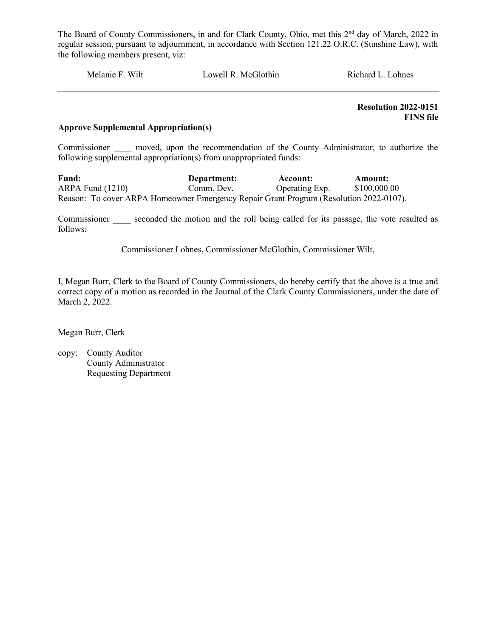Melanie F. Wilt Lowell R. McGlothin Richard L. Lohnes

 Resolution 2022-0151 FINS file

#### Approve Supplemental Appropriation(s)

Commissioner and moved, upon the recommendation of the County Administrator, to authorize the following supplemental appropriation(s) from unappropriated funds:

Fund: Department: Account: Amount: ARPA Fund (1210) Comm. Dev. Operating Exp. \$100,000.00 Reason: To cover ARPA Homeowner Emergency Repair Grant Program (Resolution 2022-0107).

Commissioner seconded the motion and the roll being called for its passage, the vote resulted as follows:

Commissioner Lohnes, Commissioner McGlothin, Commissioner Wilt,

I, Megan Burr, Clerk to the Board of County Commissioners, do hereby certify that the above is a true and correct copy of a motion as recorded in the Journal of the Clark County Commissioners, under the date of March 2, 2022.

Megan Burr, Clerk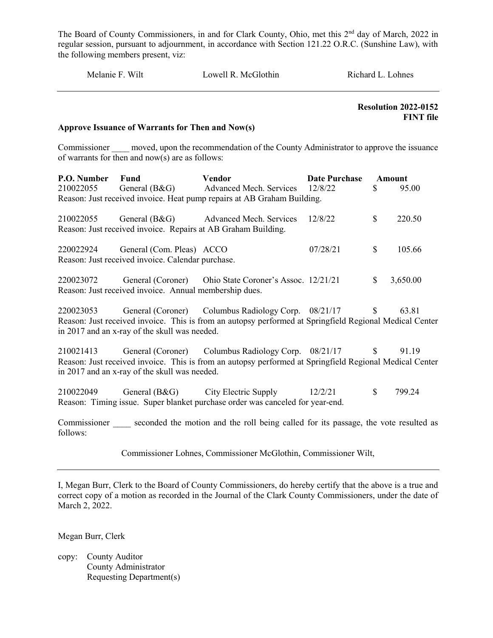| Wilt<br>Melanie F.<br>Lowell R. McGlothin<br>Richard L. Lohnes |
|----------------------------------------------------------------|
|----------------------------------------------------------------|

 Resolution 2022-0152 FINT file

#### Approve Issuance of Warrants for Then and Now(s)

Commissioner moved, upon the recommendation of the County Administrator to approve the issuance of warrants for then and now(s) are as follows:

| P.O. Number<br>210022055 | <b>Fund</b>                                                                              | Vendor<br>General (B&G) Advanced Mech. Services<br>Reason: Just received invoice. Heat pump repairs at AB Graham Building.                                               | <b>Date Purchase</b><br>12/8/22 | \$           | Amount<br>95.00 |
|--------------------------|------------------------------------------------------------------------------------------|--------------------------------------------------------------------------------------------------------------------------------------------------------------------------|---------------------------------|--------------|-----------------|
|                          |                                                                                          | 210022055 General (B&G) Advanced Mech. Services<br>Reason: Just received invoice. Repairs at AB Graham Building.                                                         | 12/8/22                         | \$           | 220.50          |
|                          | 220022924 General (Com. Pleas) ACCO<br>Reason: Just received invoice. Calendar purchase. |                                                                                                                                                                          | 07/28/21                        | $\mathbb{S}$ | 105.66          |
|                          | Reason: Just received invoice. Annual membership dues.                                   | 220023072 General (Coroner) Ohio State Coroner's Assoc. 12/21/21                                                                                                         |                                 | $\mathbb{S}$ | 3,650.00        |
|                          | in 2017 and an x-ray of the skull was needed.                                            | 220023053 General (Coroner) Columbus Radiology Corp. 08/21/17<br>Reason: Just received invoice. This is from an autopsy performed at Springfield Regional Medical Center |                                 | $\mathbb{S}$ | 63.81           |
| 210021413                | in 2017 and an x-ray of the skull was needed.                                            | General (Coroner) Columbus Radiology Corp. 08/21/17<br>Reason: Just received invoice. This is from an autopsy performed at Springfield Regional Medical Center           |                                 | $\mathbb{S}$ | 91.19           |
| 210022049                |                                                                                          | General (B&G) City Electric Supply 12/2/21<br>Reason: Timing issue. Super blanket purchase order was canceled for year-end.                                              |                                 | $\mathbb{S}$ | 799.24          |
| follows:                 |                                                                                          | Commissioner seconded the motion and the roll being called for its passage, the vote resulted as                                                                         |                                 |              |                 |

Commissioner Lohnes, Commissioner McGlothin, Commissioner Wilt,

I, Megan Burr, Clerk to the Board of County Commissioners, do hereby certify that the above is a true and correct copy of a motion as recorded in the Journal of the Clark County Commissioners, under the date of March 2, 2022.

Megan Burr, Clerk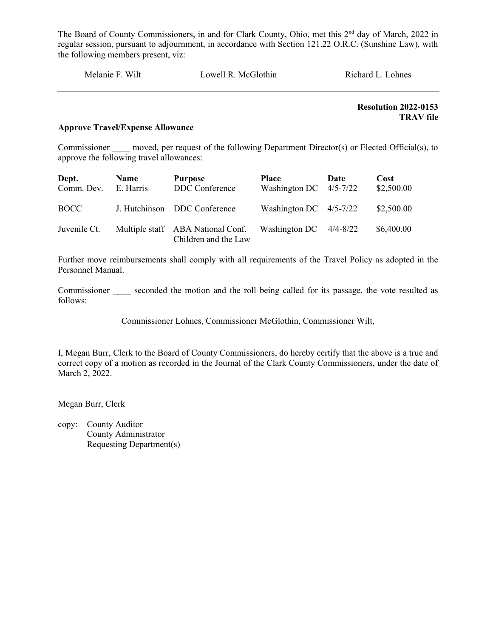Resolution 2022-0153 TRAV file

#### Approve Travel/Expense Allowance

Commissioner moved, per request of the following Department Director(s) or Elected Official(s), to approve the following travel allowances:

| Dept.<br>Comm. Dev. | <b>Name</b><br>E. Harris | <b>Purpose</b><br>DDC Conference                          | <b>Place</b><br>Washington DC $4/5-7/22$ | Date | Cost<br>\$2,500.00 |
|---------------------|--------------------------|-----------------------------------------------------------|------------------------------------------|------|--------------------|
| BOCC -              |                          | J. Hutchinson DDC Conference                              | Washington DC $4/5-7/22$                 |      | \$2,500.00         |
| Juvenile Ct.        |                          | Multiple staff ABA National Conf.<br>Children and the Law | Washington DC $4/4-8/22$                 |      | \$6,400.00         |

Further move reimbursements shall comply with all requirements of the Travel Policy as adopted in the Personnel Manual.

Commissioner seconded the motion and the roll being called for its passage, the vote resulted as follows:

Commissioner Lohnes, Commissioner McGlothin, Commissioner Wilt,

I, Megan Burr, Clerk to the Board of County Commissioners, do hereby certify that the above is a true and correct copy of a motion as recorded in the Journal of the Clark County Commissioners, under the date of March 2, 2022.

Megan Burr, Clerk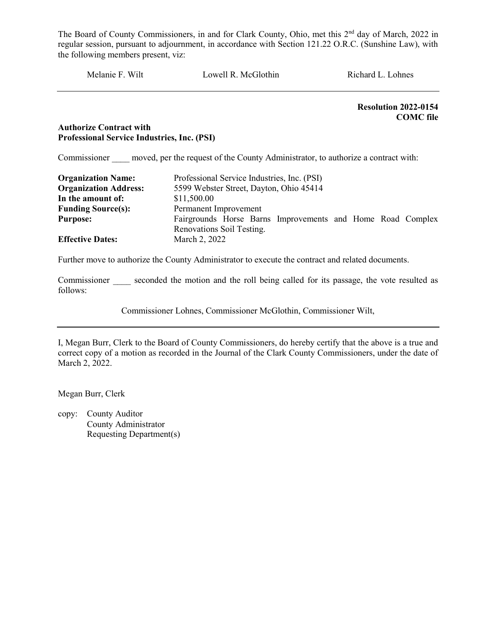Melanie F. Wilt Lowell R. McGlothin Richard L. Lohnes Resolution 2022-0154 COMC file

#### Authorize Contract with Professional Service Industries, Inc. (PSI)

Commissioner moved, per the request of the County Administrator, to authorize a contract with:

| <b>Organization Name:</b><br><b>Organization Address:</b> | Professional Service Industries, Inc. (PSI)<br>5599 Webster Street, Dayton, Ohio 45414 |  |  |  |
|-----------------------------------------------------------|----------------------------------------------------------------------------------------|--|--|--|
| In the amount of:                                         | \$11,500.00                                                                            |  |  |  |
| <b>Funding Source(s):</b>                                 | Permanent Improvement                                                                  |  |  |  |
| <b>Purpose:</b>                                           | Fairgrounds Horse Barns Improvements and Home Road Complex                             |  |  |  |
|                                                           | Renovations Soil Testing.                                                              |  |  |  |
| <b>Effective Dates:</b>                                   | March 2, 2022                                                                          |  |  |  |

Further move to authorize the County Administrator to execute the contract and related documents.

Commissioner seconded the motion and the roll being called for its passage, the vote resulted as follows:

Commissioner Lohnes, Commissioner McGlothin, Commissioner Wilt,

I, Megan Burr, Clerk to the Board of County Commissioners, do hereby certify that the above is a true and correct copy of a motion as recorded in the Journal of the Clark County Commissioners, under the date of March 2, 2022.

Megan Burr, Clerk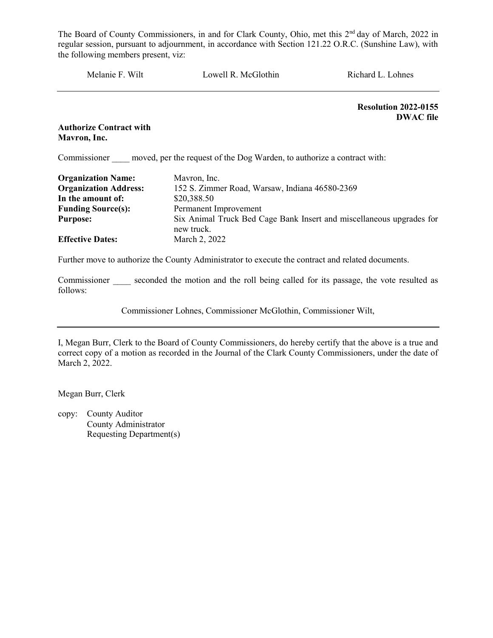| Melanie F. Wilt                | Lowell R. McGlothin                                                     | Richard L. Lohnes                               |
|--------------------------------|-------------------------------------------------------------------------|-------------------------------------------------|
|                                |                                                                         | <b>Resolution 2022-0155</b><br><b>DWAC</b> file |
| <b>Authorize Contract with</b> |                                                                         |                                                 |
| Mavron, Inc.                   |                                                                         |                                                 |
| Commissioner                   | moved, per the request of the Dog Warden, to authorize a contract with: |                                                 |
|                                |                                                                         |                                                 |

| <b>Organization Name:</b>    | Mavron, Inc.                                                                       |
|------------------------------|------------------------------------------------------------------------------------|
| <b>Organization Address:</b> | 152 S. Zimmer Road, Warsaw, Indiana 46580-2369                                     |
| In the amount of:            | \$20,388.50                                                                        |
| <b>Funding Source(s):</b>    | Permanent Improvement                                                              |
| <b>Purpose:</b>              | Six Animal Truck Bed Cage Bank Insert and miscellaneous upgrades for<br>new truck. |
| <b>Effective Dates:</b>      | March 2, 2022                                                                      |

Further move to authorize the County Administrator to execute the contract and related documents.

Commissioner seconded the motion and the roll being called for its passage, the vote resulted as follows:

Commissioner Lohnes, Commissioner McGlothin, Commissioner Wilt,

I, Megan Burr, Clerk to the Board of County Commissioners, do hereby certify that the above is a true and correct copy of a motion as recorded in the Journal of the Clark County Commissioners, under the date of March 2, 2022.

Megan Burr, Clerk